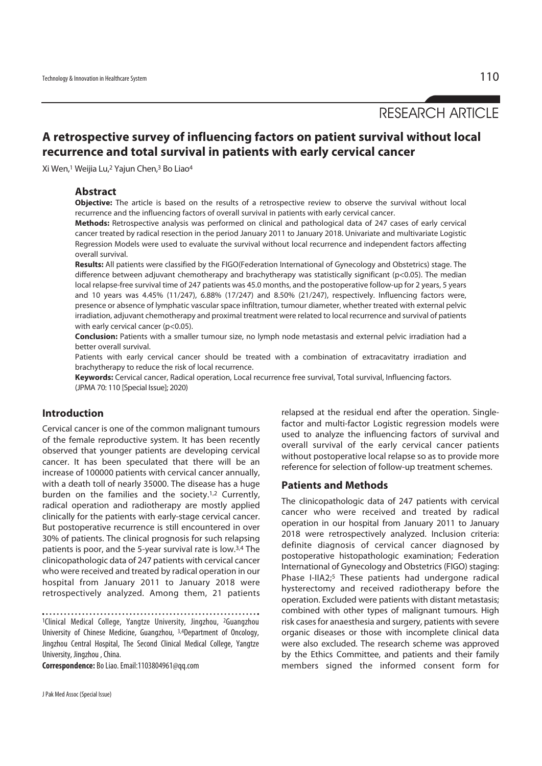RESEARCH ARTICLE

# **A retrospective survey of influencing factors on patient survival without local recurrence and total survival in patients with early cervical cancer**

Xi Wen,1 Weijia Lu,2 Yajun Chen,3 Bo Liao4

### **Abstract**

**Objective:** The article is based on the results of a retrospective review to observe the survival without local recurrence and the influencing factors of overall survival in patients with early cervical cancer.

**Methods:** Retrospective analysis was performed on clinical and pathological data of 247 cases of early cervical cancer treated by radical resection in the period January 2011 to January 2018. Univariate and multivariate Logistic Regression Models were used to evaluate the survival without local recurrence and independent factors affecting overall survival.

**Results:** All patients were classified by the FIGO(Federation International of Gynecology and Obstetrics) stage. The difference between adjuvant chemotherapy and brachytherapy was statistically significant (p<0.05). The median local relapse-free survival time of 247 patients was 45.0 months, and the postoperative follow-up for 2 years, 5 years and 10 years was 4.45% (11/247), 6.88% (17/247) and 8.50% (21/247), respectively. Influencing factors were, presence or absence of lymphatic vascular space infiltration, tumour diameter, whether treated with external pelvic irradiation, adjuvant chemotherapy and proximal treatment were related to local recurrence and survival of patients with early cervical cancer (p<0.05).

**Conclusion:** Patients with a smaller tumour size, no lymph node metastasis and external pelvic irradiation had a better overall survival.

Patients with early cervical cancer should be treated with a combination of extracavitatry irradiation and brachytherapy to reduce the risk of local recurrence.

**Keywords:** Cervical cancer, Radical operation, Local recurrence free survival, Total survival, Influencing factors. (JPMA 70: 110 [Special Issue]; 2020)

## **Introduction**

Cervical cancer is one of the common malignant tumours of the female reproductive system. It has been recently observed that younger patients are developing cervical cancer. It has been speculated that there will be an increase of 100000 patients with cervical cancer annually, with a death toll of nearly 35000. The disease has a huge burden on the families and the society.1,2 Currently, radical operation and radiotherapy are mostly applied clinically for the patients with early-stage cervical cancer. But postoperative recurrence is still encountered in over 30% of patients. The clinical prognosis for such relapsing patients is poor, and the 5-year survival rate is low.3,4 The clinicopathologic data of 247 patients with cervical cancer who were received and treated by radical operation in our hospital from January 2011 to January 2018 were retrospectively analyzed. Among them, 21 patients

1Clinical Medical College, Yangtze University, Jingzhou, 2Guangzhou University of Chinese Medicine, Guangzhou, 3,4Department of Oncology, Jingzhou Central Hospital, The Second Clinical Medical College, Yangtze University, Jingzhou , China.

**Correspondence:** Bo Liao. Email:1103804961@qq.com

relapsed at the residual end after the operation. Singlefactor and multi-factor Logistic regression models were used to analyze the influencing factors of survival and overall survival of the early cervical cancer patients without postoperative local relapse so as to provide more reference for selection of follow-up treatment schemes.

### **Patients and Methods**

The clinicopathologic data of 247 patients with cervical cancer who were received and treated by radical operation in our hospital from January 2011 to January 2018 were retrospectively analyzed. Inclusion criteria: definite diagnosis of cervical cancer diagnosed by postoperative histopathologic examination; Federation International of Gynecology and Obstetrics (FIGO) staging: Phase I-IIA2;<sup>5</sup> These patients had undergone radical hysterectomy and received radiotherapy before the operation. Excluded were patients with distant metastasis; combined with other types of malignant tumours. High risk cases for anaesthesia and surgery, patients with severe organic diseases or those with incomplete clinical data were also excluded. The research scheme was approved by the Ethics Committee, and patients and their family members signed the informed consent form for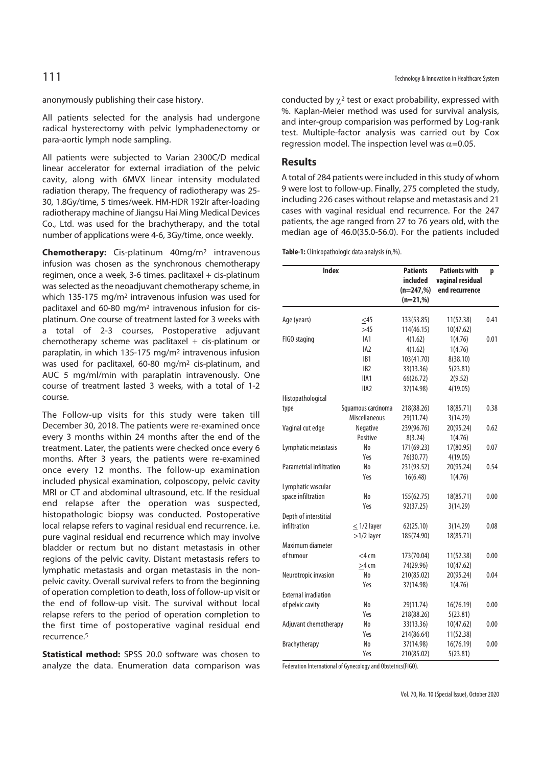anonymously publishing their case history.

All patients selected for the analysis had undergone radical hysterectomy with pelvic lymphadenectomy or para-aortic lymph node sampling.

All patients were subjected to Varian 2300C/D medical linear accelerator for external irradiation of the pelvic cavity, along with 6MVX linear intensity modulated radiation therapy, The frequency of radiotherapy was 25- 30, 1.8Gy/time, 5 times/week. HM-HDR 192Ir after-loading radiotherapy machine of Jiangsu Hai Ming Medical Devices Co., Ltd. was used for the brachytherapy, and the total number of applications were 4-6, 3Gy/time, once weekly.

**Chemotherapy:** Cis-platinum 40mg/m2 intravenous infusion was chosen as the synchronous chemotherapy regimen, once a week, 3-6 times. paclitaxel + cis-platinum was selected as the neoadjuvant chemotherapy scheme, in which 135-175 mg/m2 intravenous infusion was used for paclitaxel and 60-80 mg/m2 intravenous infusion for cisplatinum. One course of treatment lasted for 3 weeks with a total of 2-3 courses, Postoperative adjuvant chemotherapy scheme was paclitaxel  $+$  cis-platinum or paraplatin, in which 135-175 mg/m2 intravenous infusion was used for paclitaxel, 60-80 mg/m2 cis-platinum, and AUC 5 mg/ml/min with paraplatin intravenously. One course of treatment lasted 3 weeks, with a total of 1-2 course.

The Follow-up visits for this study were taken till December 30, 2018. The patients were re-examined once every 3 months within 24 months after the end of the treatment. Later, the patients were checked once every 6 months. After 3 years, the patients were re-examined once every 12 months. The follow-up examination included physical examination, colposcopy, pelvic cavity MRI or CT and abdominal ultrasound, etc. If the residual end relapse after the operation was suspected, histopathologic biopsy was conducted. Postoperative local relapse refers to vaginal residual end recurrence. i.e. pure vaginal residual end recurrence which may involve bladder or rectum but no distant metastasis in other regions of the pelvic cavity. Distant metastasis refers to lymphatic metastasis and organ metastasis in the nonpelvic cavity. Overall survival refers to from the beginning of operation completion to death, loss of follow-up visit or the end of follow-up visit. The survival without local relapse refers to the period of operation completion to the first time of postoperative vaginal residual end recurrence.5

**Statistical method:** SPSS 20.0 software was chosen to analyze the data. Enumeration data comparison was conducted by  $\gamma^2$  test or exact probability, expressed with %. Kaplan-Meier method was used for survival analysis, and inter-group comparision was performed by Log-rank test. Multiple-factor analysis was carried out by Cox regression model. The inspection level was  $\alpha$ =0.05.

### **Results**

A total of 284 patients were included in this study of whom 9 were lost to follow-up. Finally, 275 completed the study, including 226 cases without relapse and metastasis and 21 cases with vaginal residual end recurrence. For the 247 patients, the age ranged from 27 to 76 years old, with the median age of 46.0(35.0-56.0). For the patients included

**Table-1:** Clinicopathologic data analysis (n,%).

| <b>Index</b><br><b>Patients</b> |                    |              | <b>Patients with</b> |      |  |
|---------------------------------|--------------------|--------------|----------------------|------|--|
|                                 |                    | included     | vaginal residual     |      |  |
|                                 |                    | $(n=247,\%)$ | end recurrence       |      |  |
|                                 |                    | $(n=21,\%)$  |                      |      |  |
|                                 |                    |              |                      |      |  |
| Age (years)                     | $<$ 45             | 133(53.85)   | 11(52.38)            | 0.41 |  |
|                                 | >45                | 114(46.15)   | 10(47.62)            |      |  |
| FIGO staging                    | IA1                | 4(1.62)      | 1(4.76)              | 0.01 |  |
|                                 | IA <sub>2</sub>    | 4(1.62)      | 1(4.76)              |      |  |
|                                 | IB1                | 103(41.70)   | 8(38.10)             |      |  |
|                                 | IB <sub>2</sub>    | 33(13.36)    | 5(23.81)             |      |  |
|                                 | IIA1               | 66(26.72)    | 2(9.52)              |      |  |
|                                 | IIA <sub>2</sub>   | 37(14.98)    | 4(19.05)             |      |  |
| Histopathological               |                    |              |                      |      |  |
| type                            | Squamous carcinoma | 218(88.26)   | 18(85.71)            | 0.38 |  |
|                                 | Miscellaneous      | 29(11.74)    | 3(14.29)             |      |  |
| Vaginal cut edge                | Negative           | 239(96.76)   | 20(95.24)            | 0.62 |  |
|                                 | Positive           | 8(3.24)      | 1(4.76)              |      |  |
| Lymphatic metastasis            | N <sub>0</sub>     | 171(69.23)   | 17(80.95)            | 0.07 |  |
|                                 | Yes                | 76(30.77)    | 4(19.05)             |      |  |
| Parametrial infiltration        | No                 | 231(93.52)   | 20(95.24)            | 0.54 |  |
|                                 | Yes                | 16(6.48)     | 1(4.76)              |      |  |
| Lymphatic vascular              |                    |              |                      |      |  |
| space infiltration              | No                 | 155(62.75)   | 18(85.71)            | 0.00 |  |
|                                 | Yes                | 92(37.25)    | 3(14.29)             |      |  |
| Depth of interstitial           |                    |              |                      |      |  |
| infiltration                    | $<$ 1/2 layer      | 62(25.10)    | 3(14.29)             | 0.08 |  |
|                                 | $>1/2$ layer       | 185(74.90)   | 18(85.71)            |      |  |
| Maximum diameter                |                    |              |                      |      |  |
| of tumour                       | $<$ 4 cm           | 173(70.04)   | 11(52.38)            | 0.00 |  |
|                                 | $>4$ cm            | 74(29.96)    | 10(47.62)            |      |  |
| Neurotropic invasion            | N <sub>o</sub>     | 210(85.02)   | 20(95.24)            | 0.04 |  |
|                                 | Yes                | 37(14.98)    | 1(4.76)              |      |  |
| <b>External irradiation</b>     |                    |              |                      |      |  |
| of pelvic cavity                | No                 | 29(11.74)    | 16(76.19)            | 0.00 |  |
|                                 | Yes                | 218(88.26)   | 5(23.81)             |      |  |
| Adjuvant chemotherapy           | No                 | 33(13.36)    | 10(47.62)            | 0.00 |  |
|                                 | Yes                | 214(86.64)   | 11(52.38)            |      |  |
| Brachytherapy                   | N <sub>o</sub>     | 37(14.98)    | 16(76.19)            | 0.00 |  |
|                                 |                    |              |                      |      |  |
|                                 | Yes                | 210(85.02)   | 5(23.81)             |      |  |

Federation International of Gynecology and Obstetrics(FIGO).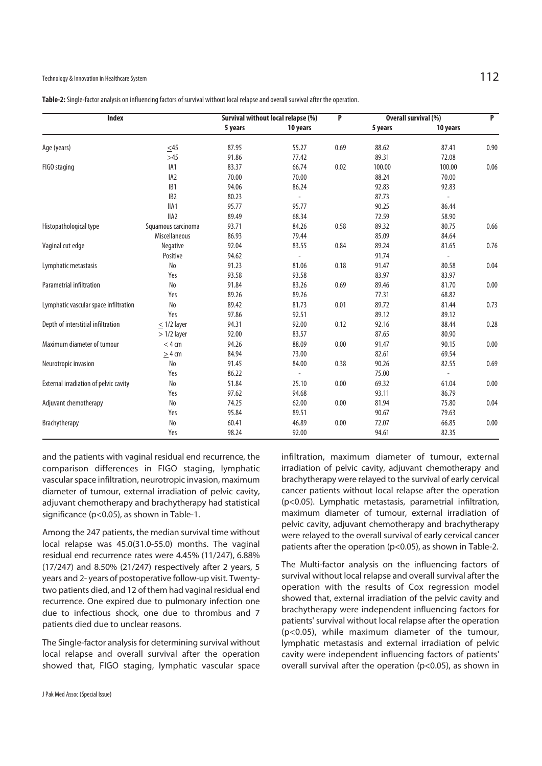| <b>Index</b>           |                      | Survival without local relapse (%) |                          | P    | <b>Overall survival (%)</b> |                          | P    |
|------------------------|----------------------|------------------------------------|--------------------------|------|-----------------------------|--------------------------|------|
|                        |                      | 5 years                            | 10 years                 |      | 5 years                     | 10 years                 |      |
| Age (years)            | $\leq45$             | 87.95                              | 55.27                    | 0.69 | 88.62                       | 87.41                    | 0.90 |
|                        | >45                  | 91.86                              | 77.42                    |      | 89.31                       | 72.08                    |      |
| FIGO staging           | IA <sub>1</sub>      | 83.37                              | 66.74                    | 0.02 | 100.00                      | 100.00                   | 0.06 |
|                        | IA <sub>2</sub>      | 70.00                              | 70.00                    |      | 88.24                       | 70.00                    |      |
|                        | IB <sub>1</sub>      | 94.06                              | 86.24                    |      | 92.83                       | 92.83                    |      |
|                        | IB <sub>2</sub>      | 80.23                              | $\overline{\phantom{a}}$ |      | 87.73                       | $\overline{\phantom{a}}$ |      |
|                        | IIA1                 | 95.77                              | 95.77                    |      | 90.25                       | 86.44                    |      |
|                        | IIA <sub>2</sub>     | 89.49                              | 68.34                    |      | 72.59                       | 58.90                    |      |
| Histopathological type | Squamous carcinoma   | 93.71                              | 84.26                    | 0.58 | 89.32                       | 80.75                    | 0.66 |
|                        | <b>Miscellaneous</b> | 86.93                              | 79.44                    |      | 85.09                       | 84.64                    |      |
| Vaginal cut edge       | Negative             | 92.04                              | 83.55                    | 0.84 | 89.24                       | 81.65                    | 0.76 |
|                        | Positive             | 94.62                              |                          |      | 91.74                       |                          |      |

Lymphatic metastasis No 91.23 81.06 0.18 91.47 80.58 0.04

Parametrial infiltration No 91.84 83.26 0.69 89.46 81.70 0.00

Lymphatic vascular space infiltration No 89.42 81.73 0.01 89.72 81.44 0.73

Depth of interstitial infiltration  $\leq 1/2$  layer 94.31 92.00 0.12 92.16 88.44 0.28

Maximum diameter of tumour < 4 cm 94.26 88.09 0.00 91.47 90.15 0.00

Neurotropic invasion No 91.45 84.00 0.38 90.26 82.55 0.69

External irradiation of pelvic cavity Mo 51.84 25.10 0.00 69.32 61.04 0.00

Adjuvant chemotherapy 15.80 No 74.25 62.00 0.00 81.94 75.80 0.04

Brachytherapy No 60.41 46.89 0.00 72.07 66.85 0.00

Yes 33.97 83.97 83.97 83.97 83.97 83.97 83.97 83.97 83.97 83.97 83.97 83.97 83.97 83.97 83.97 83.97 83.97 83.97

Yes 89.26 89.26 89.26 77.31 68.82

Yes 37.86 97.86 92.51 89.12 89.12

 $> 1/2$  layer 92.00 83.57 87.65 80.90

 $\geq$  4 cm 84.94 73.00 82.61 69.54

 $Yes$  86.22 - 75.00 -

Yes 97.62 94.68 93.11 86.79

Yes 35.84 89.51 90.67 90.67 979.63

Yes 98.24 92.00 94.61 82.35

and the patients with vaginal residual end recurrence, the comparison differences in FIGO staging, lymphatic vascular space infiltration, neurotropic invasion, maximum diameter of tumour, external irradiation of pelvic cavity, adjuvant chemotherapy and brachytherapy had statistical significance (p<0.05), as shown in Table-1.

Among the 247 patients, the median survival time without local relapse was 45.0(31.0-55.0) months. The vaginal residual end recurrence rates were 4.45% (11/247), 6.88% (17/247) and 8.50% (21/247) respectively after 2 years, 5 years and 2- years of postoperative follow-up visit. Twentytwo patients died, and 12 of them had vaginal residual end recurrence. One expired due to pulmonary infection one due to infectious shock, one due to thrombus and 7 patients died due to unclear reasons.

The Single-factor analysis for determining survival without local relapse and overall survival after the operation showed that, FIGO staging, lymphatic vascular space

infiltration, maximum diameter of tumour, external irradiation of pelvic cavity, adjuvant chemotherapy and brachytherapy were relayed to the survival of early cervical cancer patients without local relapse after the operation (p<0.05). Lymphatic metastasis, parametrial infiltration, maximum diameter of tumour, external irradiation of pelvic cavity, adjuvant chemotherapy and brachytherapy were relayed to the overall survival of early cervical cancer patients after the operation (p<0.05), as shown in Table-2.

The Multi-factor analysis on the influencing factors of survival without local relapse and overall survival after the operation with the results of Cox regression model showed that, external irradiation of the pelvic cavity and brachytherapy were independent influencing factors for patients' survival without local relapse after the operation (p<0.05), while maximum diameter of the tumour, lymphatic metastasis and external irradiation of pelvic cavity were independent influencing factors of patients' overall survival after the operation (p<0.05), as shown in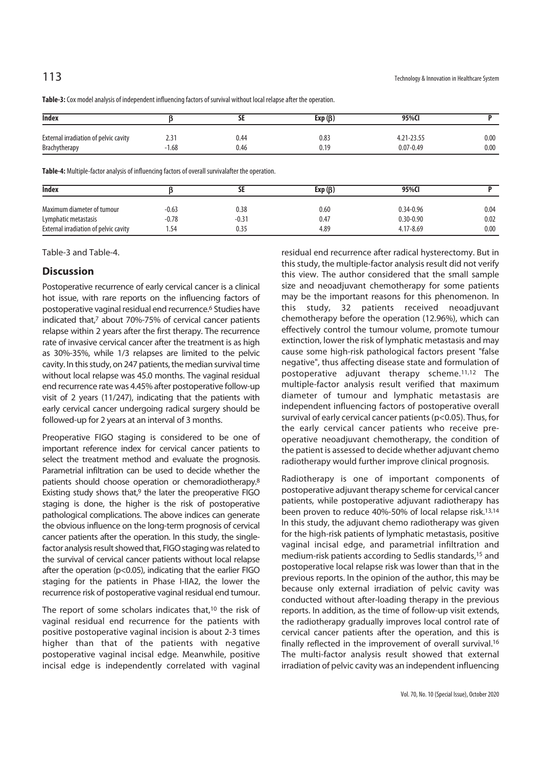| <b>Index</b>                          | ᆚ                    |      | Exp $(\beta)$ | 95%Cl         |      |  |
|---------------------------------------|----------------------|------|---------------|---------------|------|--|
| External irradiation of pelvic cavity | $\mathcal{L}$<br>2.5 | 0.44 | 0.83          | 4.21-23.55    | 0.00 |  |
| <b>Brachytherapy</b>                  | $-1.68$              | 0.46 | 0.19          | $0.07 - 0.49$ | 0.00 |  |

**Table-3:** Cox model analysis of independent influencing factors of survival without local relapse after the operation.

**Table-4:** Multiple-factor analysis of influencing factors of overall survivalafter the operation.

| <b>Index</b>                          | ЪĿ      |         | Exp $(\beta)$ | 95%CI         |      |  |
|---------------------------------------|---------|---------|---------------|---------------|------|--|
| Maximum diameter of tumour            | $-0.63$ | 0.38    | 0.60          | $0.34 - 0.96$ | 0.04 |  |
| Lymphatic metastasis                  | $-0.78$ | $-0.31$ | 0.47          | $0.30 - 0.90$ | 0.02 |  |
| External irradiation of pelvic cavity | .54     | 0.35    | 4.89          | 4.17-8.69     | 0.00 |  |

Table-3 and Table-4.

### **Discussion**

Postoperative recurrence of early cervical cancer is a clinical hot issue, with rare reports on the influencing factors of postoperative vaginal residual end recurrence.6 Studies have indicated that,<sup>7</sup> about 70%-75% of cervical cancer patients relapse within 2 years after the first therapy. The recurrence rate of invasive cervical cancer after the treatment is as high as 30%-35%, while 1/3 relapses are limited to the pelvic cavity. In this study, on 247 patients, the median survival time without local relapse was 45.0 months. The vaginal residual end recurrence rate was 4.45% after postoperative follow-up visit of 2 years (11/247), indicating that the patients with early cervical cancer undergoing radical surgery should be followed-up for 2 years at an interval of 3 months.

Preoperative FIGO staging is considered to be one of important reference index for cervical cancer patients to select the treatment method and evaluate the prognosis. Parametrial infiltration can be used to decide whether the patients should choose operation or chemoradiotherapy.8 Existing study shows that, $9$  the later the preoperative FIGO staging is done, the higher is the risk of postoperative pathological complications. The above indices can generate the obvious influence on the long-term prognosis of cervical cancer patients after the operation. In this study, the singlefactor analysis result showed that, FIGO staging was related to the survival of cervical cancer patients without local relapse after the operation (p<0.05), indicating that the earlier FIGO staging for the patients in Phase I-IIA2, the lower the recurrence risk of postoperative vaginal residual end tumour.

The report of some scholars indicates that,<sup>10</sup> the risk of vaginal residual end recurrence for the patients with positive postoperative vaginal incision is about 2-3 times higher than that of the patients with negative postoperative vaginal incisal edge. Meanwhile, positive incisal edge is independently correlated with vaginal

residual end recurrence after radical hysterectomy. But in this study, the multiple-factor analysis result did not verify this view. The author considered that the small sample size and neoadjuvant chemotherapy for some patients may be the important reasons for this phenomenon. In this study, 32 patients received neoadjuvant chemotherapy before the operation (12.96%), which can effectively control the tumour volume, promote tumour extinction, lower the risk of lymphatic metastasis and may cause some high-risk pathological factors present "false negative", thus affecting disease state and formulation of postoperative adjuvant therapy scheme.11,12 The multiple-factor analysis result verified that maximum diameter of tumour and lymphatic metastasis are independent influencing factors of postoperative overall survival of early cervical cancer patients (p<0.05). Thus, for the early cervical cancer patients who receive preoperative neoadjuvant chemotherapy, the condition of the patient is assessed to decide whether adjuvant chemo radiotherapy would further improve clinical prognosis.

Radiotherapy is one of important components of postoperative adjuvant therapy scheme for cervical cancer patients, while postoperative adjuvant radiotherapy has been proven to reduce 40%-50% of local relapse risk.13,14 In this study, the adjuvant chemo radiotherapy was given for the high-risk patients of lymphatic metastasis, positive vaginal incisal edge, and parametrial infiltration and medium-risk patients according to Sedlis standards,15 and postoperative local relapse risk was lower than that in the previous reports. In the opinion of the author, this may be because only external irradiation of pelvic cavity was conducted without after-loading therapy in the previous reports. In addition, as the time of follow-up visit extends, the radiotherapy gradually improves local control rate of cervical cancer patients after the operation, and this is finally reflected in the improvement of overall survival.16 The multi-factor analysis result showed that external irradiation of pelvic cavity was an independent influencing